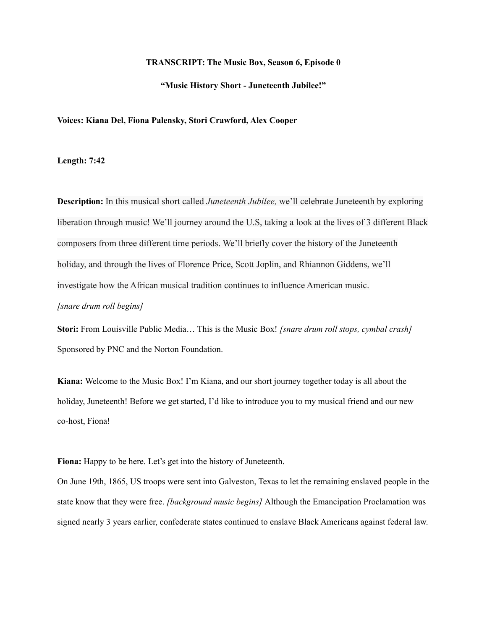#### **TRANSCRIPT: The Music Box, Season 6, Episode 0**

## **"Music History Short - Juneteenth Jubilee!"**

#### **Voices: Kiana Del, Fiona Palensky, Stori Crawford, Alex Cooper**

### **Length: 7:42**

**Description:** In this musical short called *Juneteenth Jubilee,* we'll celebrate Juneteenth by exploring liberation through music! We'll journey around the U.S, taking a look at the lives of 3 different Black composers from three different time periods. We'll briefly cover the history of the Juneteenth holiday, and through the lives of Florence Price, Scott Joplin, and Rhiannon Giddens, we'll investigate how the African musical tradition continues to influence American music. *[snare drum roll begins]*

**Stori:** From Louisville Public Media… This is the Music Box! *[snare drum roll stops, cymbal crash]* Sponsored by PNC and the Norton Foundation.

**Kiana:** Welcome to the Music Box! I'm Kiana, and our short journey together today is all about the holiday, Juneteenth! Before we get started, I'd like to introduce you to my musical friend and our new co-host, Fiona!

**Fiona:** Happy to be here. Let's get into the history of Juneteenth.

On June 19th, 1865, US troops were sent into Galveston, Texas to let the remaining enslaved people in the state know that they were free. *[background music begins]* Although the Emancipation Proclamation was signed nearly 3 years earlier, confederate states continued to enslave Black Americans against federal law.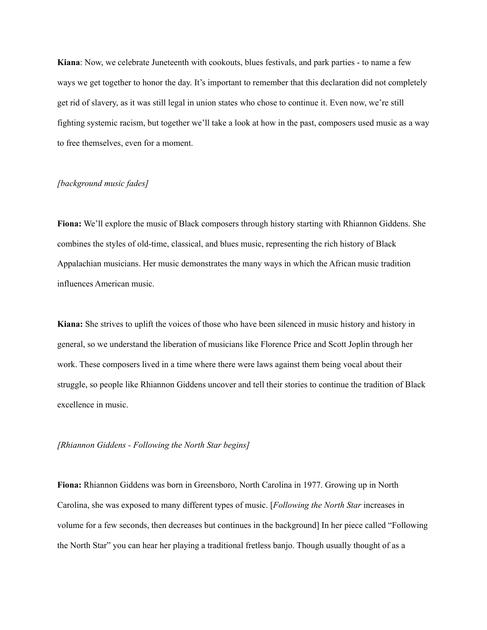**Kiana**: Now, we celebrate Juneteenth with cookouts, blues festivals, and park parties - to name a few ways we get together to honor the day. It's important to remember that this declaration did not completely get rid of slavery, as it was still legal in union states who chose to continue it. Even now, we're still fighting systemic racism, but together we'll take a look at how in the past, composers used music as a way to free themselves, even for a moment.

# *[background music fades]*

**Fiona:** We'll explore the music of Black composers through history starting with Rhiannon Giddens. She combines the styles of old-time, classical, and blues music, representing the rich history of Black Appalachian musicians. Her music demonstrates the many ways in which the African music tradition influences American music.

**Kiana:** She strives to uplift the voices of those who have been silenced in music history and history in general, so we understand the liberation of musicians like Florence Price and Scott Joplin through her work. These composers lived in a time where there were laws against them being vocal about their struggle, so people like Rhiannon Giddens uncover and tell their stories to continue the tradition of Black excellence in music.

## *[Rhiannon Giddens - Following the North Star begins]*

**Fiona:** Rhiannon Giddens was born in Greensboro, North Carolina in 1977. Growing up in North Carolina, she was exposed to many different types of music. [*Following the North Star* increases in volume for a few seconds, then decreases but continues in the background] In her piece called "Following the North Star" you can hear her playing a traditional fretless banjo. Though usually thought of as a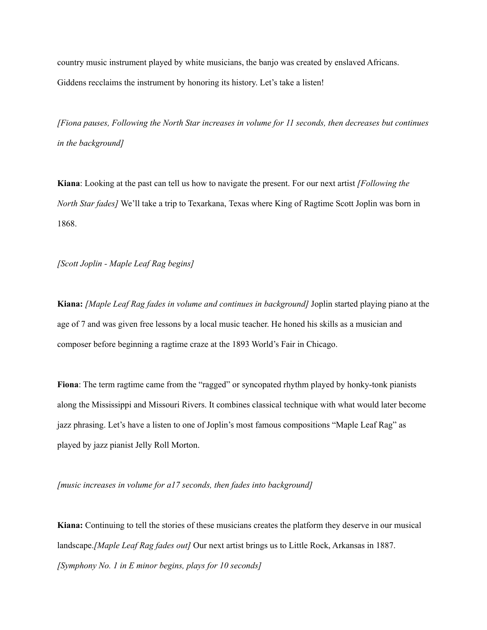country music instrument played by white musicians, the banjo was created by enslaved Africans. Giddens recclaims the instrument by honoring its history. Let's take a listen!

*[Fiona pauses, Following the North Star increases in volume for 11 seconds, then decreases but continues in the background]*

**Kiana**: Looking at the past can tell us how to navigate the present. For our next artist *[Following the North Star fades]* We'll take a trip to Texarkana, Texas where King of Ragtime Scott Joplin was born in 1868.

*[Scott Joplin - Maple Leaf Rag begins]*

**Kiana:** *[Maple Leaf Rag fades in volume and continues in background]* Joplin started playing piano at the age of 7 and was given free lessons by a local music teacher. He honed his skills as a musician and composer before beginning a ragtime craze at the 1893 World's Fair in Chicago.

Fiona: The term ragtime came from the "ragged" or syncopated rhythm played by honky-tonk pianists along the Mississippi and Missouri Rivers. It combines classical technique with what would later become jazz phrasing. Let's have a listen to one of Joplin's most famous compositions "Maple Leaf Rag" as played by jazz pianist Jelly Roll Morton.

*[music increases in volume for a17 seconds, then fades into background]*

**Kiana:** Continuing to tell the stories of these musicians creates the platform they deserve in our musical landscape.*[Maple Leaf Rag fades out]* Our next artist brings us to Little Rock, Arkansas in 1887. *[Symphony No. 1 in E minor begins, plays for 10 seconds]*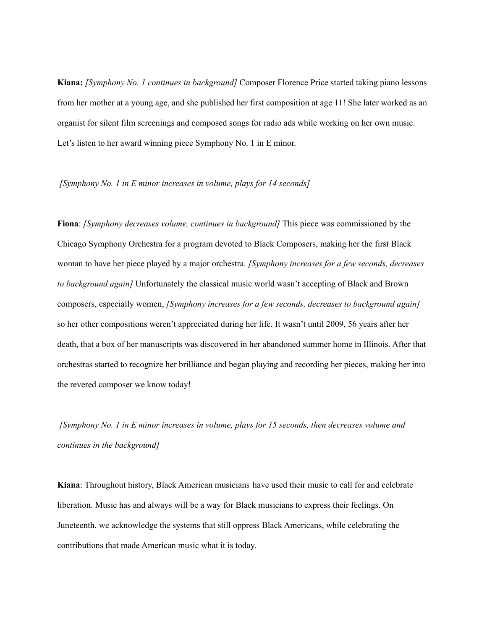**Kiana:** *[Symphony No. 1 continues in background]* Composer Florence Price started taking piano lessons from her mother at a young age, and she published her first composition at age 11! She later worked as an organist for silent film screenings and composed songs for radio ads while working on her own music. Let's listen to her award winning piece Symphony No. 1 in E minor.

### *[Symphony No. 1 in E minor increases in volume, plays for 14 seconds]*

**Fiona**: *[Symphony decreases volume, continues in background]* This piece was commissioned by the Chicago Symphony Orchestra for a program devoted to Black Composers, making her the first Black woman to have her piece played by a major orchestra. *[Symphony increases for a few seconds, decreases to background again]* Unfortunately the classical music world wasn't accepting of Black and Brown composers, especially women, *[Symphony increases for a few seconds, decreases to background again]* so her other compositions weren't appreciated during her life. It wasn't until 2009, 56 years after her death, that a box of her manuscripts was discovered in her abandoned summer home in Illinois. After that orchestras started to recognize her brilliance and began playing and recording her pieces, making her into the revered composer we know today!

*[Symphony No. 1 in E minor increases in volume, plays for 15 seconds, then decreases volume and continues in the background]*

**Kiana**: Throughout history, Black American musicians have used their music to call for and celebrate liberation. Music has and always will be a way for Black musicians to express their feelings. On Juneteenth, we acknowledge the systems that still oppress Black Americans, while celebrating the contributions that made American music what it is today.